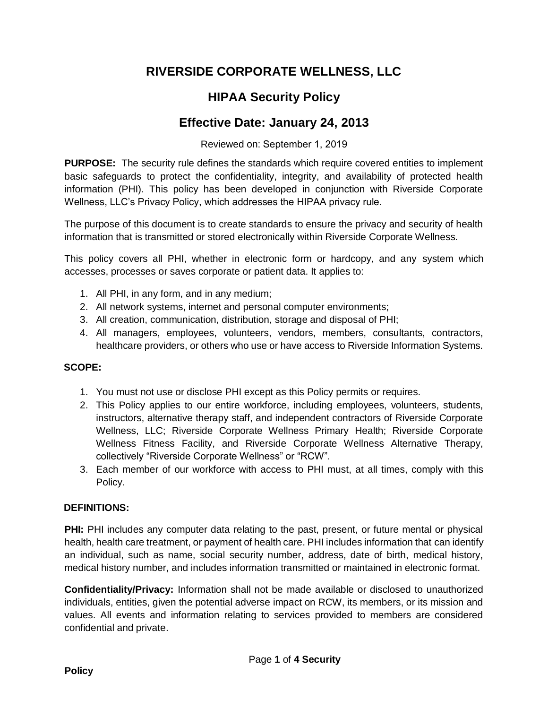## **RIVERSIDE CORPORATE WELLNESS, LLC**

# **HIPAA Security Policy**

### **Effective Date: January 24, 2013**

Reviewed on: September 1, 2019

**PURPOSE:** The security rule defines the standards which require covered entities to implement basic safeguards to protect the confidentiality, integrity, and availability of protected health information (PHI). This policy has been developed in conjunction with Riverside Corporate Wellness, LLC's Privacy Policy, which addresses the HIPAA privacy rule.

The purpose of this document is to create standards to ensure the privacy and security of health information that is transmitted or stored electronically within Riverside Corporate Wellness.

This policy covers all PHI, whether in electronic form or hardcopy, and any system which accesses, processes or saves corporate or patient data. It applies to:

- 1. All PHI, in any form, and in any medium;
- 2. All network systems, internet and personal computer environments;
- 3. All creation, communication, distribution, storage and disposal of PHI;
- 4. All managers, employees, volunteers, vendors, members, consultants, contractors, healthcare providers, or others who use or have access to Riverside Information Systems.

### **SCOPE:**

- 1. You must not use or disclose PHI except as this Policy permits or requires.
- 2. This Policy applies to our entire workforce, including employees, volunteers, students, instructors, alternative therapy staff, and independent contractors of Riverside Corporate Wellness, LLC; Riverside Corporate Wellness Primary Health; Riverside Corporate Wellness Fitness Facility, and Riverside Corporate Wellness Alternative Therapy, collectively "Riverside Corporate Wellness" or "RCW".
- 3. Each member of our workforce with access to PHI must, at all times, comply with this Policy.

#### **DEFINITIONS:**

**PHI:** PHI includes any computer data relating to the past, present, or future mental or physical health, health care treatment, or payment of health care. PHI includes information that can identify an individual, such as name, social security number, address, date of birth, medical history, medical history number, and includes information transmitted or maintained in electronic format.

**Confidentiality/Privacy:** Information shall not be made available or disclosed to unauthorized individuals, entities, given the potential adverse impact on RCW, its members, or its mission and values. All events and information relating to services provided to members are considered confidential and private.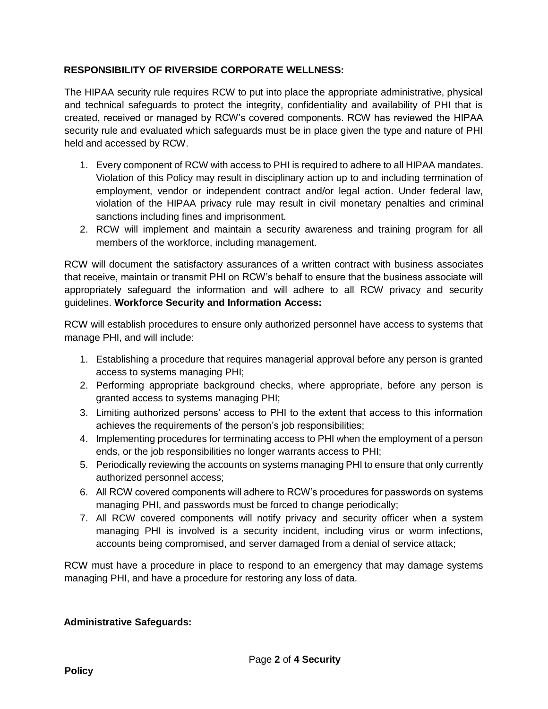#### **RESPONSIBILITY OF RIVERSIDE CORPORATE WELLNESS:**

The HIPAA security rule requires RCW to put into place the appropriate administrative, physical and technical safeguards to protect the integrity, confidentiality and availability of PHI that is created, received or managed by RCW's covered components. RCW has reviewed the HIPAA security rule and evaluated which safeguards must be in place given the type and nature of PHI held and accessed by RCW.

- 1. Every component of RCW with access to PHI is required to adhere to all HIPAA mandates. Violation of this Policy may result in disciplinary action up to and including termination of employment, vendor or independent contract and/or legal action. Under federal law, violation of the HIPAA privacy rule may result in civil monetary penalties and criminal sanctions including fines and imprisonment.
- 2. RCW will implement and maintain a security awareness and training program for all members of the workforce, including management.

RCW will document the satisfactory assurances of a written contract with business associates that receive, maintain or transmit PHI on RCW's behalf to ensure that the business associate will appropriately safeguard the information and will adhere to all RCW privacy and security guidelines. **Workforce Security and Information Access:** 

RCW will establish procedures to ensure only authorized personnel have access to systems that manage PHI, and will include:

- 1. Establishing a procedure that requires managerial approval before any person is granted access to systems managing PHI;
- 2. Performing appropriate background checks, where appropriate, before any person is granted access to systems managing PHI;
- 3. Limiting authorized persons' access to PHI to the extent that access to this information achieves the requirements of the person's job responsibilities;
- 4. Implementing procedures for terminating access to PHI when the employment of a person ends, or the job responsibilities no longer warrants access to PHI;
- 5. Periodically reviewing the accounts on systems managing PHI to ensure that only currently authorized personnel access;
- 6. All RCW covered components will adhere to RCW's procedures for passwords on systems managing PHI, and passwords must be forced to change periodically;
- 7. All RCW covered components will notify privacy and security officer when a system managing PHI is involved is a security incident, including virus or worm infections, accounts being compromised, and server damaged from a denial of service attack;

RCW must have a procedure in place to respond to an emergency that may damage systems managing PHI, and have a procedure for restoring any loss of data.

#### **Administrative Safeguards:**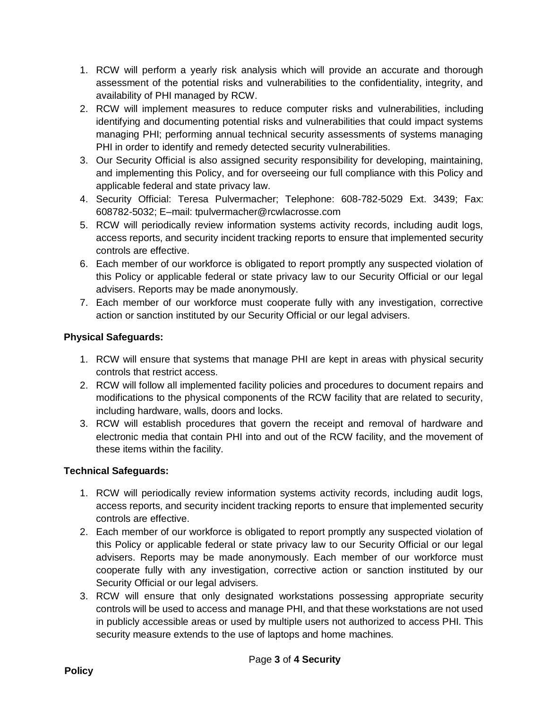- 1. RCW will perform a yearly risk analysis which will provide an accurate and thorough assessment of the potential risks and vulnerabilities to the confidentiality, integrity, and availability of PHI managed by RCW.
- 2. RCW will implement measures to reduce computer risks and vulnerabilities, including identifying and documenting potential risks and vulnerabilities that could impact systems managing PHI; performing annual technical security assessments of systems managing PHI in order to identify and remedy detected security vulnerabilities.
- 3. Our Security Official is also assigned security responsibility for developing, maintaining, and implementing this Policy, and for overseeing our full compliance with this Policy and applicable federal and state privacy law.
- 4. Security Official: Teresa Pulvermacher; Telephone: 608-782-5029 Ext. 3439; Fax: 608782-5032; E–mail: tpulvermacher@rcwlacrosse.com
- 5. RCW will periodically review information systems activity records, including audit logs, access reports, and security incident tracking reports to ensure that implemented security controls are effective.
- 6. Each member of our workforce is obligated to report promptly any suspected violation of this Policy or applicable federal or state privacy law to our Security Official or our legal advisers. Reports may be made anonymously.
- 7. Each member of our workforce must cooperate fully with any investigation, corrective action or sanction instituted by our Security Official or our legal advisers.

### **Physical Safeguards:**

- 1. RCW will ensure that systems that manage PHI are kept in areas with physical security controls that restrict access.
- 2. RCW will follow all implemented facility policies and procedures to document repairs and modifications to the physical components of the RCW facility that are related to security, including hardware, walls, doors and locks.
- 3. RCW will establish procedures that govern the receipt and removal of hardware and electronic media that contain PHI into and out of the RCW facility, and the movement of these items within the facility.

#### **Technical Safeguards:**

- 1. RCW will periodically review information systems activity records, including audit logs, access reports, and security incident tracking reports to ensure that implemented security controls are effective.
- 2. Each member of our workforce is obligated to report promptly any suspected violation of this Policy or applicable federal or state privacy law to our Security Official or our legal advisers. Reports may be made anonymously. Each member of our workforce must cooperate fully with any investigation, corrective action or sanction instituted by our Security Official or our legal advisers.
- 3. RCW will ensure that only designated workstations possessing appropriate security controls will be used to access and manage PHI, and that these workstations are not used in publicly accessible areas or used by multiple users not authorized to access PHI. This security measure extends to the use of laptops and home machines.